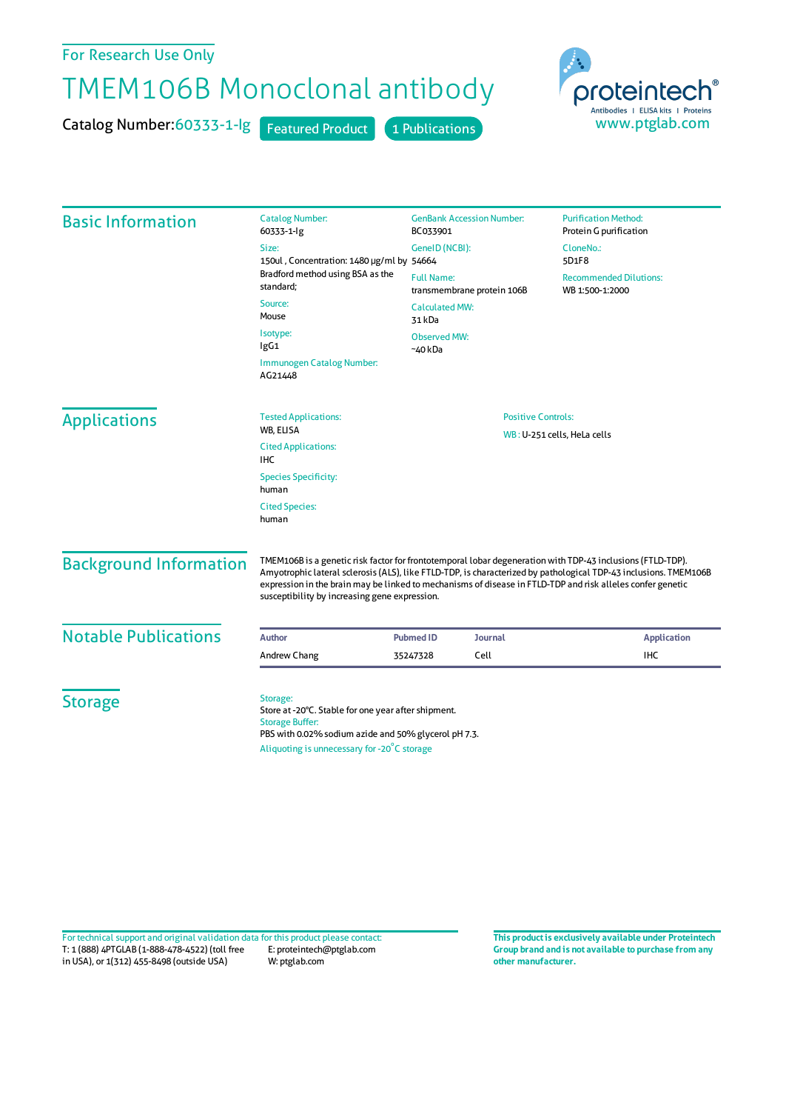For Research Use Only

## TMEM106B Monoclonal antibody

Catalog Number: 60333-1-lg Featured Product 1 Publications



| <b>Catalog Number:</b><br>60333-1-lg                                                   | <b>GenBank Accession Number:</b><br>BC033901                       |                                                                                                                                       | <b>Purification Method:</b><br>Protein G purification                                                                                                                                                                                                                                                                                                                  |                                                                                    |  |
|----------------------------------------------------------------------------------------|--------------------------------------------------------------------|---------------------------------------------------------------------------------------------------------------------------------------|------------------------------------------------------------------------------------------------------------------------------------------------------------------------------------------------------------------------------------------------------------------------------------------------------------------------------------------------------------------------|------------------------------------------------------------------------------------|--|
| Size:<br>Bradford method using BSA as the<br>standard;<br>Source:<br>Mouse<br>Isotype: | GeneID (NCBI):                                                     |                                                                                                                                       | CloneNo.:<br>5D1F8                                                                                                                                                                                                                                                                                                                                                     |                                                                                    |  |
|                                                                                        |                                                                    |                                                                                                                                       |                                                                                                                                                                                                                                                                                                                                                                        | <b>Full Name:</b><br>transmembrane protein 106B<br><b>Calculated MW:</b><br>31 kDa |  |
|                                                                                        | <b>Observed MW:</b>                                                |                                                                                                                                       |                                                                                                                                                                                                                                                                                                                                                                        |                                                                                    |  |
|                                                                                        |                                                                    |                                                                                                                                       |                                                                                                                                                                                                                                                                                                                                                                        |                                                                                    |  |
|                                                                                        | AG21448                                                            |                                                                                                                                       |                                                                                                                                                                                                                                                                                                                                                                        |                                                                                    |  |
|                                                                                        | <b>Tested Applications:</b>                                        | <b>Positive Controls:</b>                                                                                                             |                                                                                                                                                                                                                                                                                                                                                                        |                                                                                    |  |
| WB, ELISA                                                                              | WB: U-251 cells, HeLa cells                                        |                                                                                                                                       |                                                                                                                                                                                                                                                                                                                                                                        |                                                                                    |  |
| <b>Cited Applications:</b><br><b>IHC</b>                                               |                                                                    |                                                                                                                                       |                                                                                                                                                                                                                                                                                                                                                                        |                                                                                    |  |
| <b>Species Specificity:</b><br>human                                                   |                                                                    |                                                                                                                                       |                                                                                                                                                                                                                                                                                                                                                                        |                                                                                    |  |
| <b>Cited Species:</b><br>human                                                         |                                                                    |                                                                                                                                       |                                                                                                                                                                                                                                                                                                                                                                        |                                                                                    |  |
|                                                                                        |                                                                    |                                                                                                                                       |                                                                                                                                                                                                                                                                                                                                                                        |                                                                                    |  |
|                                                                                        |                                                                    |                                                                                                                                       |                                                                                                                                                                                                                                                                                                                                                                        |                                                                                    |  |
|                                                                                        |                                                                    |                                                                                                                                       | <b>Application</b>                                                                                                                                                                                                                                                                                                                                                     |                                                                                    |  |
|                                                                                        |                                                                    |                                                                                                                                       | IHC                                                                                                                                                                                                                                                                                                                                                                    |                                                                                    |  |
|                                                                                        |                                                                    |                                                                                                                                       |                                                                                                                                                                                                                                                                                                                                                                        |                                                                                    |  |
|                                                                                        | IgG1<br>Immunogen Catalog Number:<br><b>Author</b><br>Andrew Chang | 150ul, Concentration: 1480 µg/ml by 54664<br>~40 kDa<br>susceptibility by increasing gene expression.<br><b>Pubmed ID</b><br>35247328 | TMEM106B is a genetic risk factor for frontotemporal lobar degeneration with TDP-43 inclusions (FTLD-TDP).<br>Amyotrophic lateral sclerosis (ALS), like FTLD-TDP, is characterized by pathological TDP-43 inclusions. TMEM106B<br>expression in the brain may be linked to mechanisms of disease in FTLD-TDP and risk alleles confer genetic<br><b>Journal</b><br>Cell |                                                                                    |  |

T: 1 (888) 4PTGLAB (1-888-478-4522) (toll free in USA), or 1(312) 455-8498 (outside USA) E: proteintech@ptglab.com W: ptglab.com Fortechnical support and original validation data forthis product please contact: **This productis exclusively available under Proteintech**

**Group brand and is not available to purchase from any other manufacturer.**